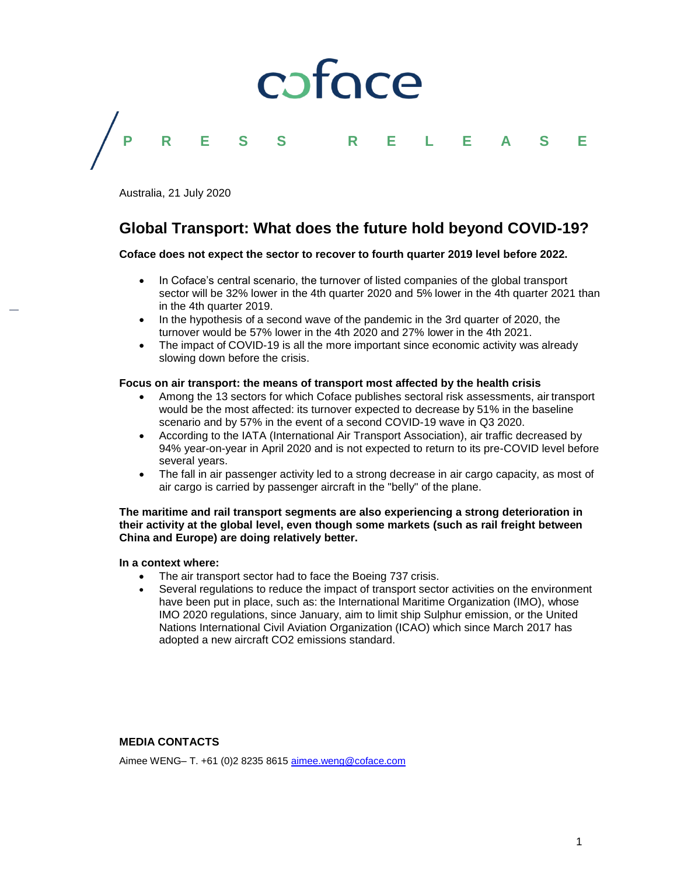# coface **P R E S S R E L E A S E**

Australia, 21 July 2020

### **Global Transport: What does the future hold beyond COVID-19?**

#### **Coface does not expect the sector to recover to fourth quarter 2019 level before 2022.**

- In Coface's central scenario, the turnover of listed companies of the global transport sector will be 32% lower in the 4th quarter 2020 and 5% lower in the 4th quarter 2021 than in the 4th quarter 2019.
- In the hypothesis of a second wave of the pandemic in the 3rd quarter of 2020, the turnover would be 57% lower in the 4th 2020 and 27% lower in the 4th 2021.
- The impact of COVID-19 is all the more important since economic activity was already slowing down before the crisis.

#### **Focus on air transport: the means of transport most affected by the health crisis**

- Among the 13 sectors for which Coface publishes sectoral risk assessments, air transport would be the most affected: its turnover expected to decrease by 51% in the baseline scenario and by 57% in the event of a second COVID-19 wave in Q3 2020.
- According to the IATA (International Air Transport Association), air traffic decreased by 94% year-on-year in April 2020 and is not expected to return to its pre-COVID level before several years.
- The fall in air passenger activity led to a strong decrease in air cargo capacity, as most of air cargo is carried by passenger aircraft in the "belly" of the plane.

#### **The maritime and rail transport segments are also experiencing a strong deterioration in their activity at the global level, even though some markets (such as rail freight between China and Europe) are doing relatively better.**

#### **In a context where:**

- The air transport sector had to face the Boeing 737 crisis.
- Several regulations to reduce the impact of transport sector activities on the environment have been put in place, such as: the International Maritime Organization (IMO), whose IMO 2020 regulations, since January, aim to limit ship Sulphur emission, or the United Nations International Civil Aviation Organization (ICAO) which since March 2017 has adopted a new aircraft CO2 emissions standard.

#### **MEDIA CONTACTS**

Aimee WENG– T. +61 (0)2 8235 8615 [aimee.weng@coface.com](mailto:aimee.weng@coface.com)